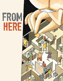# FROM HERE

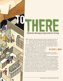

# THE STREET OF THE CONTROL CHANGE Effectively Managing Organizational Change

hroughout organizational history it has been witnessed and written of<br>time and again just how difficult initiating and leading change, as it<br>relates to human behavior, can be. As early as the fourteenth century,<br>statesman hroughout organizational history it has been witnessed and written of time and again just how difficult initiating and leading change, as it relates to human behavior, can be. As early as the fourteenth century, statesman and writer Niccolo Machiavelli recognized the individual

nor more doubtful of success, nor more dangerous to handle, than to initiate a new order of things…This arises partly from the

incredulity of mankind who do not truly believe in anything new until they have actual experience of it."1 Although Machiavelli is known for what are

### By Casey J. Wick

generally viewed as unethical tactics such as deception and force (in modern management texts these are termed "Machiavellian Tactics"), his perception of human resistance to change is nonetheless insightful.

Ask any manager to recount a time when significant changes to their organization were required, and the response will more than likely be a woeful tale of suspicion, resistance, and eventually reluctant acceptance. Initiating and implementing organizational change can be, and very often is, a journey characterized by periods of temporary progress followed by slow regression back to old habits and operating practices. Countless challenges and barriers rooted in individual and group perceptions lay around each and every bend in the road to effective and lasting changes. More importantly, the journey of organizational change is one in which the pressure influencing change can shift rapidly and without warning making the destination seem unattainable. Fortunately, with firm commitment and thorough planning, the initiation and implementation of pressure-driven changes can be successfully made within an organizational setting.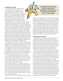#### **The Pressure to Change**

Successful agents of change, whether internal or external, understand it is paramount for environmental changes to be matched by organizational change if the organization is to remain effective.2 When working to implement organizational changes, it is crucial to understand the critical elements including; the forces causing the pressure to change, the process by which change occurs, the causes and nature behind the resistance to change, and finally strategies for overcoming such resistance.

All organizations face two basic sources of pressure to change, external and internal pressures.3 Because these two distinctions often share common traits, such as communication channels, organizational policies and individual/group perceptions, the differences may be perceived as arbitrary. However, in order to accurately evaluate the forces creating pressure to change such a separation will facilitate a clearer understanding and an effective change process.

Organizations are often driven into change action by a solid jolt from forces outside its own boundaries where no immediate control is exercised. These external forces include regulatory, social, technological, or political pressures triggering the organization to respond. Whatever the cause, change driven by external forces is generally of a proactive nature. That is the need for change is a result of foreseeable situations coming in the future. Regulatory requirements and technology are two good examples of foreseeable forces.

Generally speaking, most new, or changes to existing, regulatory requirements are announced in bulletins published by the authority having jurisdiction. Knowing of these new or changed regulations gives the organization an opportunity to be proactive and begin the necessary changes to be compliant before the new regulations become law. Likewise, advances in technology occur rapidly but not without a certain period of advance notice. Upgrades to software, innovations in energy management/ building automation systems and advances in equipment are all preceded by vendor demos and product specific training.

Successful organizational change driven by external pressures requires the capacity to effectively receive, filter, and accurately interpret inflows of information from various external channels. Once the information is processed action must be taken in innovative and creative ways leading to a predetermined and desired organizational position.

Internal sources of pressure are of a different nature yet no less influential or critical. Internal sources of change can often be traced to process, procedural, or behavioral issues within the organization itself.4 Shortcomings within the organization that often create internal pressures include: high absenteeism and turnover, low productivity, frequent grievances, and even conflict and sabotage. For example, a sudden and dramatic exodus due to a newly offered retirement option could cause a string of promotions and lateral moves.

Because of the rapid nature of the staff movements, many may be

Progress and schedules must be universally understood and accepted in order for backward slides to be avoided.

made without adequate preparation. The result will be redundant, misinterpreted, or inadequate communications leading to systemic breakdowns within and between divisions, departments, and offices. Periodic internal assessments can be effective in identifying symptoms of internal situations that may result in the need for change.

However, most often internal change is reactive and is driven by pressures which appear with little or no advance warning. Organizations are forced to take rapid corrective action with little time to prepare an adequate plan for change. In such circumstances organizations must take an approach which will stabilize the internal environment for a period long enough to identify the true cause of the pressure, establish a clear vision of the necessary improvements, and initiate the change process toward the desired outcomes.

#### **Characteristics of Change**

Appropriate and realistic change is characterized by several key elements including; expected outcomes, schedule and progress expectation, individual and group responsibilities and control mechanism necessary to track progress toward newly established organizational goals. Such changes essentially come about through a sequence of organizational events or a psychological process that occurs over time.<sup>5</sup> Modern organizational behavior theorists agree that organizational change occurs through what is generally viewed as a three-step process.

The first step, *unfreezing*, is the result of a recognition that the current organizational status is inappropriate or inadequate. Unfreezing involves moving individuals and groups out of old mindsets and habits. Change leaders, participants, and stakeholders must arrive at a shared and agreed upon vision in order for organizational change to be effective and lasting. Elements such as progress and schedules must be universally understood and accepted in order for backward slides to be avoided.

Once the unfreezing has occurred, the *change*, or *moving*, stage of the process begins. Individuals and groups begin to exhibit the new behaviors and practices identified as desirable outcomes. New policies and procedures are initiated and change leaders work to motivate the organization to pick up momentum toward the desired position. At this point interested parties often assume there will be an immediate and positive result from the changes in policies, processes, or behaviors. However, there is more often than not a drop in performance or productivity immediately after such adjustments are initiated due to the learning curve associated with the transitions. This performance gap must be identified and accounted for in the progress and schedule as defined in the change plan.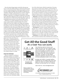Once the desired changes begin to take hold, *refreezing* must occur to ensure the attitudes, behaviors, and processes become part of the new organizational culture. Refreezing strengthens and reinforces the changes and diffuses them through the organization for assimilation. During the refreezing period it is critical to safeguard against the new habits and behaviors from becoming too rigid. Flexibility is important to controlling the change process and allowing for appropriate adjustments when necessary. The main focus of refreezing must be to build and foster fluid adaptability, regular and continuing internal assessment, and continuous improvement.

While there are countless individual reasons for resistance to change, surprise initiation, misunderstanding of the need for change, lack of trust, fear of failure, poor timing, and competing demands are most often the primary culprits. Directly relative to the significance of the cause of the change there will be relative and escalating levels of fear and anxiety by those affected. For example, in the case of policy change, the individual may not understand the reason for the policy change and fear getting disciplined for failing to adhere to the new policy. This may cause a certain amount of short-term stress and anxiety until the new policy takes hold and the individual or group becomes comfortable with the change.

In a more serious event, such as a catastrophic fire or major organizational restructuring, individuals will experience a much

greater level of fear and anxiety possibly leading to debilitating physical or emotional manifestations. In both cases there is a common thread that makes them similar—the fear of the unknown. It is fear of the unknown that causes individuals and groups to be so resistant to change. In the realm of the unknown there is always the possibility of failure and loss of security which is the driving force behind resistance to change.

#### **Effective Strategies**

Effective strategies for reducing or eliminating resistance are essential to the process of implementing lasting and effective organizational change. While there are several strategies generally accepted as effective, they all have certain traits in common and are most effective when used in combination. Developing a positive climate for change is at the top of the list. The beliefs employees hold about the organization will affect their responses during times of change. Effective, honest, and transparent communication with employees will help to build a positive belief about the change leaders and in turn will facilitate dissipation of the related anxiety within the organization. Encouraging an interest in improvement will have a profound effect on individuals and groups involved in the change process. Here one must be conscious of the perils of the "Do as I say and not as I do" perception. If employees are being encouraged to accept change and improvement yet the leadership does not participate in improvement programs a conflicting message will be sent.

**Education** is universally accepted as the foundation of effective strategies because of its proactive nature. Education focuses on accurately and clearly informing employees of the driving forces behind the need for change, developing the necessary skills and knowledge and supporting individual and group development. With few drawbacks, education is clearly one of the most desirable strategies. However, regardless of the format in which it is delivered, education can be time consuming and costly.

**Participation** is another strategy change leaders frequently rely on. Acting as a substantial contributor will instill a genuine sense of ownership within the participants and stakeholders alike. By being participants in the planning, implementation, and follow-up phases of the change process employees are more likely to give full commitment.

**Facilitation** is yet another highly effective change strategy and is essential in situations where individual stress, anxiety and

### **Get All the Good Stuff** At a Cost You can Justify



**Bundled with** the Guidelines

Your cleaning costs are tied to your facility size and now your software costs work the same way. No matter what the size of your facility, our entire suite of features is affordable since we price by the square foot, with prices starting at just \$500, including our PDA based inspection software, everyone can have the best professional tools on the market.

Bundled with APPA's Custodial Staffing Guidelines and pre-loaded with all the area types you need, try out the software for 60 days via download from our website.

Lean more at: www.managewize.com

Software available from JohnsonDiversey's Johnson Wax, Butcher's, and Ramsey brands, as well as select, independent consultants in the industry.



60 Kensico Rd. STE 26, Thornwood, NY 10594 email: info@managewize.net